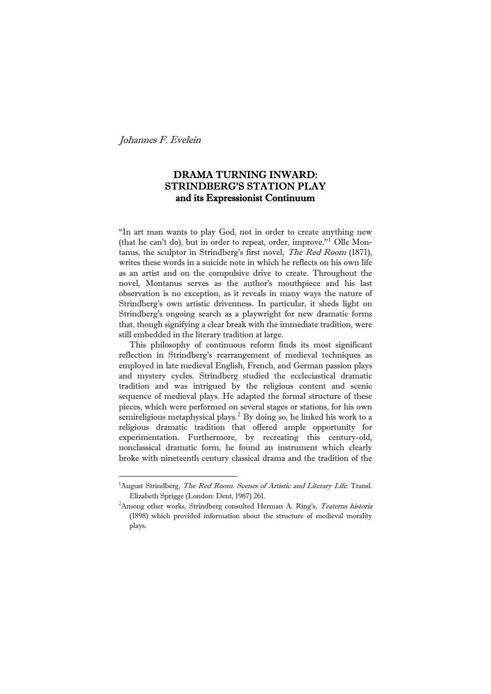È,

# DRAMA TURNING INWARD: STRINDBERG'S STATION PLAY and its Expressionist Continuum

"In art man wants to play God, not in order to create anything new (that he can't do), but in order to repeat, order, improve."[1](#page-0-0) Olle Montanus, the sculptor in Strindberg's first novel, The Red Room (1871), writes these words in a suicide note in which he reflects on his own life as an artist and on the compulsive drive to create. Throughout the novel, Montanus serves as the author's mouthpiece and his last observation is no exception, as it reveals in many ways the nature of Strindberg's own artistic drivenness. In particular, it sheds light on Strindberg's ongoing search as a playwright for new dramatic forms that, though signifying a clear break with the immediate tradition, were still embedded in the literary tradition at large.

 This philosophy of continuous reform finds its most significant reflection in Strindberg's rearrangement of medieval techniques as employed in late medieval English, French, and German passion plays and mystery cycles. Strindberg studied the eccleciastical dramatic tradition and was intrigued by the religious content and scenic sequence of medieval plays. He adapted the formal structure of these pieces, which were performed on several stages or stations, for his own semireligious metaphysical plays.<sup>[2](#page-0-1)</sup> By doing so, he linked his work to a religious dramatic tradition that offered ample opportunity for experimentation. Furthermore, by recreating this century-old, nonclassical dramatic form, he found an instrument which clearly broke with nineteenth century classical drama and the tradition of the

<span id="page-0-0"></span><sup>&</sup>lt;sup>1</sup>August Strindberg, The Red Room. Scenes of Artistic and Literary Life. Transl. Elizabeth Sprigge (London: Dent, 1967) 261. 2

<span id="page-0-1"></span><sup>&</sup>lt;sup>2</sup>Among other works, Strindberg consulted Herman A. Ring's, *Teaterns historia* (1898) which provided information about the structure of medieval morality plays.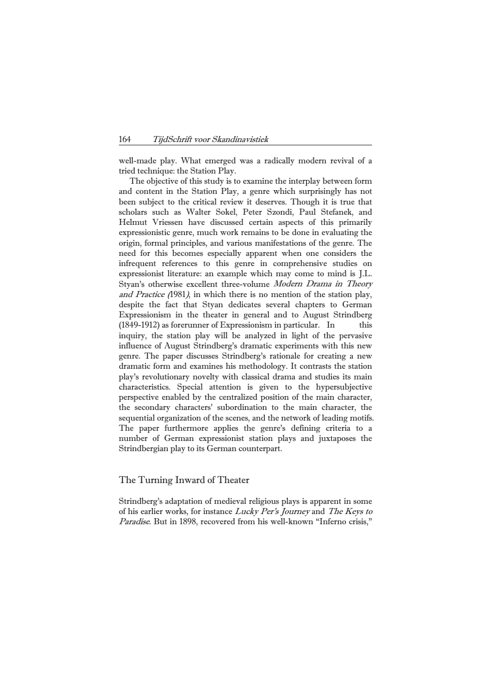well-made play. What emerged was a radically modern revival of a tried technique: the Station Play.

 The objective of this study is to examine the interplay between form and content in the Station Play, a genre which surprisingly has not been subject to the critical review it deserves. Though it is true that scholars such as Walter Sokel, Peter Szondi, Paul Stefanek, and Helmut Vriessen have discussed certain aspects of this primarily expressionistic genre, much work remains to be done in evaluating the origin, formal principles, and various manifestations of the genre. The need for this becomes especially apparent when one considers the infrequent references to this genre in comprehensive studies on expressionist literature: an example which may come to mind is J.L. Styan's otherwise excellent three-volume Modern Drama in Theory and Practice (1981), in which there is no mention of the station play, despite the fact that Styan dedicates several chapters to German Expressionism in the theater in general and to August Strindberg  $(1849-1912)$  as forerunner of Expressionism in particular. In this inquiry, the station play will be analyzed in light of the pervasive influence of August Strindberg's dramatic experiments with this new genre. The paper discusses Strindberg's rationale for creating a new dramatic form and examines his methodology. It contrasts the station play's revolutionary novelty with classical drama and studies its main characteristics. Special attention is given to the hypersubjective perspective enabled by the centralized position of the main character, the secondary characters' subordination to the main character, the sequential organization of the scenes, and the network of leading motifs. The paper furthermore applies the genre's defining criteria to a number of German expressionist station plays and juxtaposes the Strindbergian play to its German counterpart.

### The Turning Inward of Theater

Strindberg's adaptation of medieval religious plays is apparent in some of his earlier works, for instance Lucky Per's Journey and The Keys to Paradise. But in 1898, recovered from his well-known "Inferno crisis,"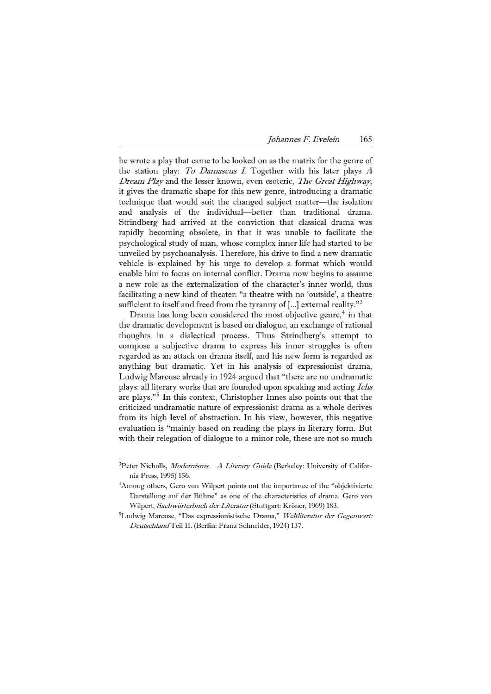he wrote a play that came to be looked on as the matrix for the genre of the station play: To Damascus I. Together with his later plays <sup>A</sup> Dream Play and the lesser known, even esoteric, The Great Highway, it gives the dramatic shape for this new genre, introducing a dramatic technique that would suit the changed subject matter—the isolation and analysis of the individual—better than traditional drama. Strindberg had arrived at the conviction that classical drama was rapidly becoming obsolete, in that it was unable to facilitate the psychological study of man, whose complex inner life had started to be unveiled by psychoanalysis. Therefore, his drive to find a new dramatic vehicle is explained by his urge to develop a format which would enable him to focus on internal conflict. Drama now begins to assume a new role as the externalization of the character's inner world, thus facilitating a new kind of theater: "a theatre with no 'outside', a theatre sufficient to itself and freed from the tyranny of  $\left[\ldots\right]$  external reality.<sup>"[3](#page-2-0)</sup>

Drama has long been considered the most objective genre, $4$  in that the dramatic development is based on dialogue, an exchange of rational thoughts in a dialectical process. Thus Strindberg's attempt to compose a subjective drama to express his inner struggles is often regarded as an attack on drama itself, and his new form is regarded as anything but dramatic. Yet in his analysis of expressionist drama, Ludwig Marcuse already in 1924 argued that "there are no undramatic plays: all literary works that are founded upon speaking and acting Ichs are plays."[5](#page-2-2) In this context, Christopher Innes also points out that the criticized undramatic nature of expressionist drama as a whole derives from its high level of abstraction. In his view, however, this negative evaluation is "mainly based on reading the plays in literary form. But with their relegation of dialogue to a minor role, these are not so much

<span id="page-2-0"></span><sup>&</sup>lt;sup>3</sup>Peter Nicholls, *Modernisms. A Literary Guide* (Berkeley: University of California Press, 1995) 156. 4

<span id="page-2-1"></span><sup>&</sup>lt;sup>4</sup>Among others, Gero von Wilpert points out the importance of the "objektivierte" Darstellung auf der Bühne" as one of the characteristics of drama. Gero von Wilpert, Sachwörterbuch der Literatur (Stuttgart: Kröner, 1969) 183.

<span id="page-2-2"></span><sup>&</sup>lt;sup>5</sup>Ludwig Marcuse, "Das expressionistische Drama," Weltliteratur der Gegenwart: Deutschland Teil II. (Berlin: Franz Schneider, 1924) 137.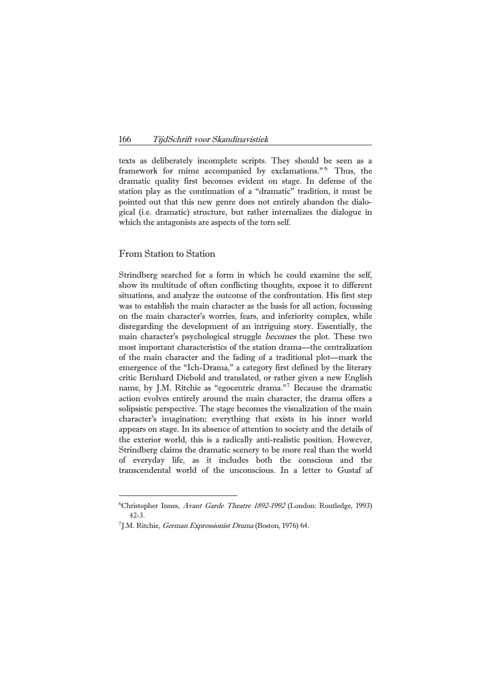texts as deliberately incomplete scripts. They should be seen as a framework for mime accompanied by exclamations."<sup>[6](#page-3-0)</sup> Thus, the dramatic quality first becomes evident on stage. In defense of the station play as the continuation of a "dramatic" tradition, it must be pointed out that this new genre does not entirely abandon the dialogical (i.e. dramatic) structure, but rather internalizes the dialogue in which the antagonists are aspects of the torn self.

### From Station to Station

È,

Strindberg searched for a form in which he could examine the self, show its multitude of often conflicting thoughts, expose it to different situations, and analyze the outcome of the confrontation. His first step was to establish the main character as the basis for all action, focussing on the main character's worries, fears, and inferiority complex, while disregarding the development of an intriguing story. Essentially, the main character's psychological struggle becomes the plot. These two most important characteristics of the station drama—the centralization of the main character and the fading of a traditional plot—mark the emergence of the "Ich-Drama," a category first defined by the literary critic Bernhard Diebold and translated, or rather given a new English name, by J.M. Ritchie as "egocentric drama."[7](#page-3-1) Because the dramatic action evolves entirely around the main character, the drama offers a solipsistic perspective. The stage becomes the visualization of the main character's imagination; everything that exists in his inner world appears on stage. In its absence of attention to society and the details of the exterior world, this is a radically anti-realistic position. However, Strindberg claims the dramatic scenery to be more real than the world of everyday life, as it includes both the conscious and the transcendental world of the unconscious. In a letter to Gustaf af

<span id="page-3-0"></span><sup>&</sup>lt;sup>6</sup>Christopher Innes, Avant Garde Theatre 1892-1992 (London: Routledge, 1993)

<span id="page-3-1"></span><sup>42-3.&</sup>lt;br><sup>7</sup>J.M. Ritchie, *German Expressionist Drama* (Boston, 1976) 64.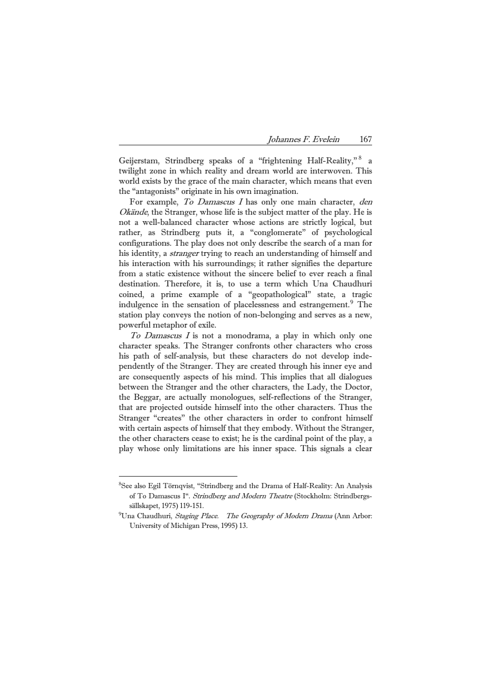Geijerstam, Strindberg speaks of a "frightening Half-Reality," [8](#page-4-0) a twilight zone in which reality and dream world are interwoven. This world exists by the grace of the main character, which means that even the "antagonists" originate in his own imagination.

For example, To Damascus I has only one main character, den Okände, the Stranger, whose life is the subject matter of the play. He is not a well-balanced character whose actions are strictly logical, but rather, as Strindberg puts it, a "conglomerate" of psychological configurations. The play does not only describe the search of a man for his identity, a *stranger* trying to reach an understanding of himself and his interaction with his surroundings; it rather signifies the departure from a static existence without the sincere belief to ever reach a final destination. Therefore, it is, to use a term which Una Chaudhuri coined, a prime example of a "geopathological" state, a tragic indulgence in the sensation of placelessness and estrangement.<sup>[9](#page-4-1)</sup> The station play conveys the notion of non-belonging and serves as a new, powerful metaphor of exile.

 To Damascus I is not a monodrama, a play in which only one character speaks. The Stranger confronts other characters who cross his path of self-analysis, but these characters do not develop independently of the Stranger. They are created through his inner eye and are consequently aspects of his mind. This implies that all dialogues between the Stranger and the other characters, the Lady, the Doctor, the Beggar, are actually monologues, self-reflections of the Stranger, that are projected outside himself into the other characters. Thus the Stranger "creates" the other characters in order to confront himself with certain aspects of himself that they embody. Without the Stranger, the other characters cease to exist; he is the cardinal point of the play, a play whose only limitations are his inner space. This signals a clear

<span id="page-4-0"></span><sup>8</sup> See also Egil Törnqvist, "Strindberg and the Drama of Half-Reality: An Analysis of To Damascus I". Strindberg and Modern Theatre (Stockholm: Strindbergssällskapet, 1975) 119-151. 9

<span id="page-4-1"></span> $^{9}$ Una Chaudhuri, Staging Place. The Geography of Modern Drama (Ann Arbor: University of Michigan Press, 1995) 13.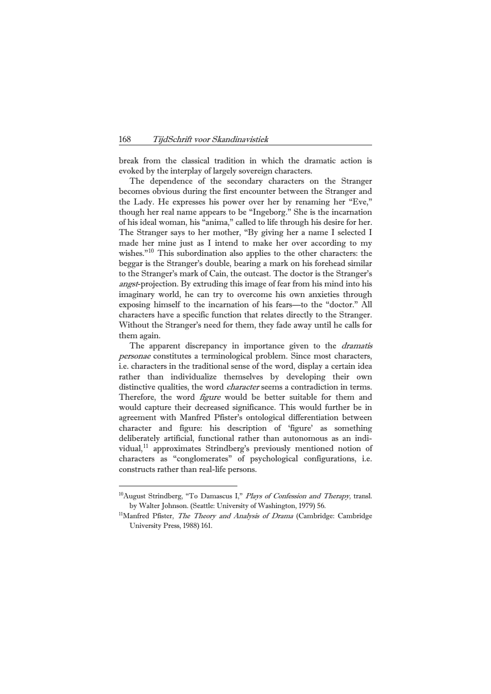break from the classical tradition in which the dramatic action is evoked by the interplay of largely sovereign characters.

 The dependence of the secondary characters on the Stranger becomes obvious during the first encounter between the Stranger and the Lady. He expresses his power over her by renaming her "Eve," though her real name appears to be "Ingeborg." She is the incarnation of his ideal woman, his "anima," called to life through his desire for her. The Stranger says to her mother, "By giving her a name I selected I made her mine just as I intend to make her over according to my wishes."[10](#page-5-0) This subordination also applies to the other characters: the beggar is the Stranger's double, bearing a mark on his forehead similar to the Stranger's mark of Cain, the outcast. The doctor is the Stranger's angst-projection. By extruding this image of fear from his mind into his imaginary world, he can try to overcome his own anxieties through exposing himself to the incarnation of his fears—to the "doctor." All characters have a specific function that relates directly to the Stranger. Without the Stranger's need for them, they fade away until he calls for them again.

The apparent discrepancy in importance given to the *dramatis* personae constitutes a terminological problem. Since most characters, i.e. characters in the traditional sense of the word, display a certain idea rather than individualize themselves by developing their own distinctive qualities, the word *character* seems a contradiction in terms. Therefore, the word *figure* would be better suitable for them and would capture their decreased significance. This would further be in agreement with Manfred Pfister's ontological differentiation between character and figure: his description of 'figure' as something deliberately artificial, functional rather than autonomous as an indi-vidual,<sup>[11](#page-5-1)</sup> approximates Strindberg's previously mentioned notion of characters as "conglomerates" of psychological configurations, i.e. constructs rather than real-life persons.

<span id="page-5-1"></span><span id="page-5-0"></span> $10$ August Strindberg, "To Damascus I," Plays of Confession and Therapy, transl. by Walter Johnson. (Seattle: University of Washington, 1979) 56.<br><sup>11</sup>Manfred Pfister, *The Theory and Analysis of Drama* (Cambridge: Cambridge

University Press, 1988) 161.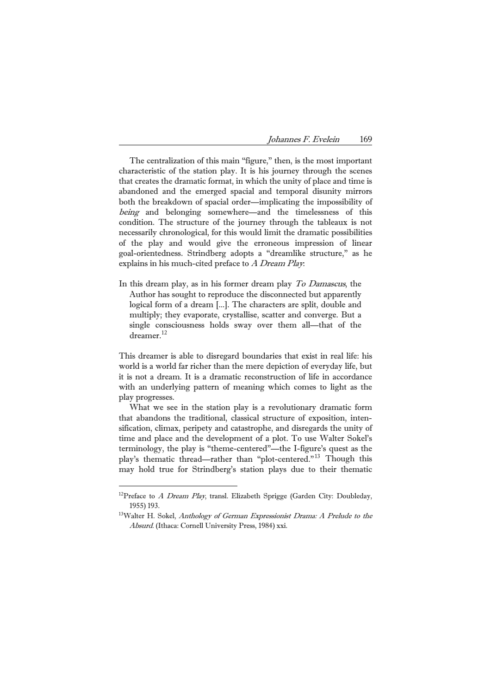| Johannes F. Evelein |  | 169 |
|---------------------|--|-----|
|---------------------|--|-----|

 The centralization of this main "figure," then, is the most important characteristic of the station play. It is his journey through the scenes that creates the dramatic format, in which the unity of place and time is abandoned and the emerged spacial and temporal disunity mirrors both the breakdown of spacial order—implicating the impossibility of being and belonging somewhere—and the timelessness of this condition. The structure of the journey through the tableaux is not necessarily chronological, for this would limit the dramatic possibilities of the play and would give the erroneous impression of linear goal-orientedness. Strindberg adopts a "dreamlike structure," as he explains in his much-cited preface to  $A$  Dream Play:

In this dream play, as in his former dream play To Damascus, the Author has sought to reproduce the disconnected but apparently logical form of a dream [...]. The characters are split, double and multiply; they evaporate, crystallise, scatter and converge. But a single consciousness holds sway over them all—that of the dreamer.<sup>[12](#page-6-0)</sup>

This dreamer is able to disregard boundaries that exist in real life: his world is a world far richer than the mere depiction of everyday life, but it is not a dream. It is a dramatic reconstruction of life in accordance with an underlying pattern of meaning which comes to light as the play progresses.

 What we see in the station play is a revolutionary dramatic form that abandons the traditional, classical structure of exposition, intensification, climax, peripety and catastrophe, and disregards the unity of time and place and the development of a plot. To use Walter Sokel's terminology, the play is "theme-centered"—the I-figure's quest as the play's thematic thread—rather than "plot-centered."<sup>[13](#page-6-1)</sup> Though this may hold true for Strindberg's station plays due to their thematic

<span id="page-6-1"></span><span id="page-6-0"></span><sup>&</sup>lt;sup>12</sup>Preface to *A Dream Play*, transl. Elizabeth Sprigge (Garden City: Doubleday, 1955) 193.<br><sup>13</sup>Walter H. Sokel, *Anthology of German Expressionist Drama: A Prelude to the* 

Absurd. (Ithaca: Cornell University Press, 1984) xxi.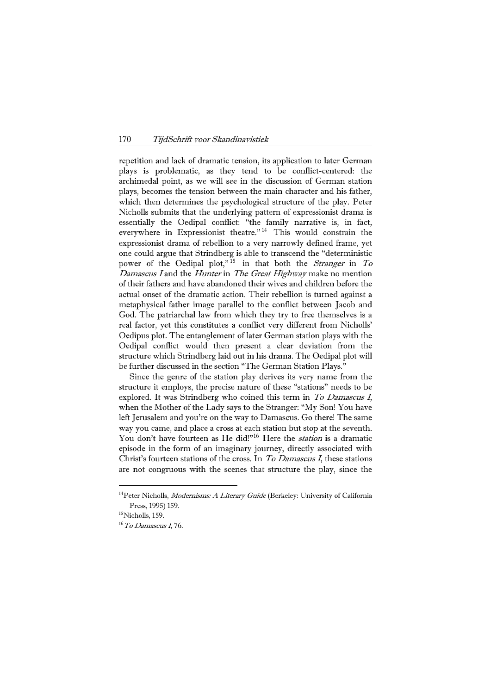repetition and lack of dramatic tension, its application to later German plays is problematic, as they tend to be conflict-centered: the archimedal point, as we will see in the discussion of German station plays, becomes the tension between the main character and his father, which then determines the psychological structure of the play. Peter Nicholls submits that the underlying pattern of expressionist drama is essentially the Oedipal conflict: "the family narrative is, in fact, everywhere in Expressionist theatre."<sup>[14](#page-7-0)</sup> This would constrain the expressionist drama of rebellion to a very narrowly defined frame, yet one could argue that Strindberg is able to transcend the "deterministic power of the Oedipal plot,"<sup>[15](#page-7-1)</sup> in that both the Stranger in To Damascus I and the Hunter in The Great Highway make no mention of their fathers and have abandoned their wives and children before the actual onset of the dramatic action. Their rebellion is turned against a metaphysical father image parallel to the conflict between Jacob and God. The patriarchal law from which they try to free themselves is a real factor, yet this constitutes a conflict very different from Nicholls' Oedipus plot. The entanglement of later German station plays with the Oedipal conflict would then present a clear deviation from the structure which Strindberg laid out in his drama. The Oedipal plot will be further discussed in the section "The German Station Plays."

 Since the genre of the station play derives its very name from the structure it employs, the precise nature of these "stations" needs to be explored. It was Strindberg who coined this term in To Damascus I, when the Mother of the Lady says to the Stranger: "My Son! You have left Jerusalem and you're on the way to Damascus. Go there! The same way you came, and place a cross at each station but stop at the seventh. You don't have fourteen as He did!"<sup>[16](#page-7-2)</sup> Here the *station* is a dramatic episode in the form of an imaginary journey, directly associated with Christ's fourteen stations of the cross. In To Damascus I, these stations are not congruous with the scenes that structure the play, since the

<span id="page-7-0"></span><sup>&</sup>lt;sup>14</sup>Peter Nicholls, *Modernisms: A Literary Guide* (Berkeley: University of California Press, 1995) 159.<br><sup>15</sup>Nicholls, 159.

<span id="page-7-1"></span>

<span id="page-7-2"></span> $16$  To Damascus I, 76.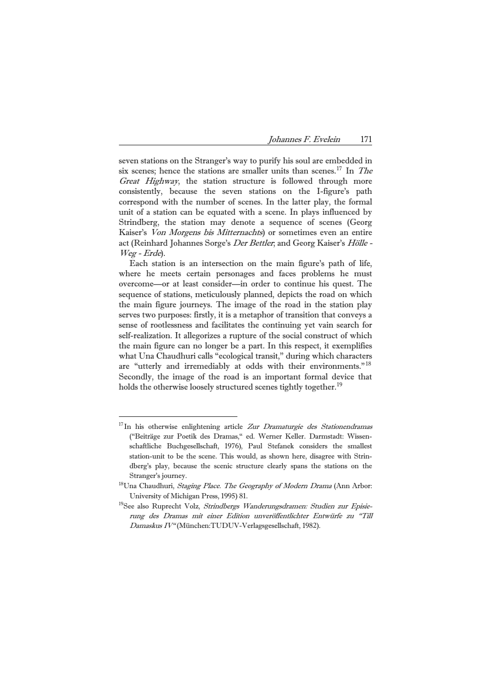seven stations on the Stranger's way to purify his soul are embedded in six scenes; hence the stations are smaller units than scenes.<sup>[17](#page-8-0)</sup> In *The* Great Highway, the station structure is followed through more consistently, because the seven stations on the I-figure's path correspond with the number of scenes. In the latter play, the formal unit of a station can be equated with a scene. In plays influenced by Strindberg, the station may denote a sequence of scenes (Georg Kaiser's Von Morgens bis Mitternachts) or sometimes even an entire act (Reinhard Johannes Sorge's Der Bettler; and Georg Kaiser's Hölle -Weg - Erde).

 Each station is an intersection on the main figure's path of life, where he meets certain personages and faces problems he must overcome—or at least consider—in order to continue his quest. The sequence of stations, meticulously planned, depicts the road on which the main figure journeys. The image of the road in the station play serves two purposes: firstly, it is a metaphor of transition that conveys a sense of rootlessness and facilitates the continuing yet vain search for self-realization. It allegorizes a rupture of the social construct of which the main figure can no longer be a part. In this respect, it exemplifies what Una Chaudhuri calls "ecological transit," during which characters are "utterly and irremediably at odds with their environments."<sup>[18](#page-8-1)</sup> Secondly, the image of the road is an important formal device that holds the otherwise loosely structured scenes tightly together.<sup>[19](#page-8-2)</sup>

<span id="page-8-0"></span> $17$ In his otherwise enlightening article Zur Dramaturgie des Stationendramas ("Beiträge zur Poetik des Dramas," ed. Werner Keller. Darmstadt: Wissenschaftliche Buchgesellschaft, 1976), Paul Stefanek considers the smallest station-unit to be the scene. This would, as shown here, disagree with Strindberg's play, because the scenic structure clearly spans the stations on the Stranger's journey.<br><sup>18</sup>Una Chaudhuri, *Staging Place. The Geography of Modern Drama* (Ann Arbor:

<span id="page-8-2"></span><span id="page-8-1"></span>University of Michigan Press, 1995) 81.<br><sup>19</sup>See also Ruprecht Volz, *Strindbergs Wanderungsdramen: Studien zur Episie-*

rung des Dramas mit einer Edition unveröffentlichter Entwürfe zu "Till Damaskus IV" (München:TUDUV-Verlagsgesellschaft, 1982).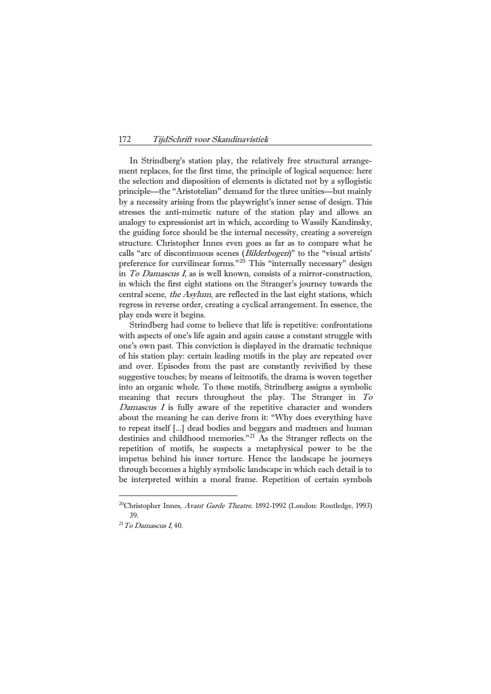In Strindberg's station play, the relatively free structural arrangement replaces, for the first time, the principle of logical sequence: here the selection and disposition of elements is dictated not by a syllogistic principle—the "Aristotelian" demand for the three unities—but mainly by a necessity arising from the playwright's inner sense of design. This stresses the anti-mimetic nature of the station play and allows an analogy to expressionist art in which, according to Wassily Kandinsky, the guiding force should be the internal necessity, creating a sovereign structure. Christopher Innes even goes as far as to compare what he calls "arc of discontinuous scenes (Bilderbogen)" to the "visual artists' preference for curvilinear forms."<sup>[20](#page-9-0)</sup> This "internally necessary" design in To Damascus I, as is well known, consists of a mirror-construction, in which the first eight stations on the Stranger's journey towards the central scene, the Asylum, are reflected in the last eight stations, which regress in reverse order, creating a cyclical arrangement. In essence, the play ends were it begins.

 Strindberg had come to believe that life is repetitive: confrontations with aspects of one's life again and again cause a constant struggle with one's own past. This conviction is displayed in the dramatic technique of his station play: certain leading motifs in the play are repeated over and over. Episodes from the past are constantly revivified by these suggestive touches; by means of leitmotifs, the drama is woven together into an organic whole. To these motifs, Strindberg assigns a symbolic meaning that recurs throughout the play. The Stranger in To  $D$ amascus  $I$  is fully aware of the repetitive character and wonders about the meaning he can derive from it: "Why does everything have to repeat itself [...] dead bodies and beggars and madmen and human destinies and childhood memories."<sup>[21](#page-9-1)</sup> As the Stranger reflects on the repetition of motifs, he suspects a metaphysical power to be the impetus behind his inner torture. Hence the landscape he journeys through becomes a highly symbolic landscape in which each detail is to be interpreted within a moral frame. Repetition of certain symbols

<span id="page-9-0"></span><sup>&</sup>lt;sup>20</sup>Christopher Innes, *Avant Garde Theatre*. 1892-1992 (London: Routledge, 1993) 39.  $^{21}$ To Damascus I, 40.

<span id="page-9-1"></span>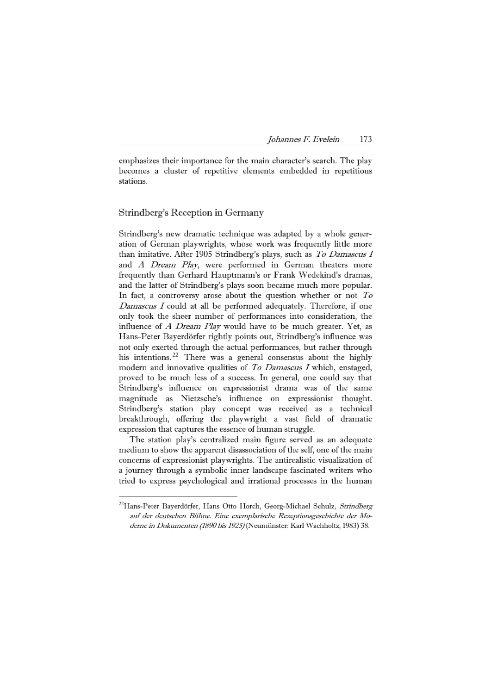emphasizes their importance for the main character's search. The play becomes a cluster of repetitive elements embedded in repetitious stations.

### Strindberg's Reception in Germany

<u>—</u>

Strindberg's new dramatic technique was adapted by a whole generation of German playwrights, whose work was frequently little more than imitative. After 1905 Strindberg's plays, such as To Damascus I and A Dream Play, were performed in German theaters more frequently than Gerhard Hauptmann's or Frank Wedekind's dramas, and the latter of Strindberg's plays soon became much more popular. In fact, a controversy arose about the question whether or not To Damascus I could at all be performed adequately. Therefore, if one only took the sheer number of performances into consideration, the influence of A Dream Play would have to be much greater. Yet, as Hans-Peter Bayerdörfer rightly points out, Strindberg's influence was not only exerted through the actual performances, but rather through his intentions.<sup>[22](#page-10-0)</sup> There was a general consensus about the highly modern and innovative qualities of  $To$  Damascus I which, enstaged, proved to be much less of a success. In general, one could say that Strindberg's influence on expressionist drama was of the same magnitude as Nietzsche's influence on expressionist thought. Strindberg's station play concept was received as a technical breakthrough, offering the playwright a vast field of dramatic expression that captures the essence of human struggle.

 The station play's centralized main figure served as an adequate medium to show the apparent disassociation of the self, one of the main concerns of expressionist playwrights. The antirealistic visualization of a journey through a symbolic inner landscape fascinated writers who tried to express psychological and irrational processes in the human

<span id="page-10-0"></span><sup>&</sup>lt;sup>22</sup>Hans-Peter Bayerdörfer, Hans Otto Horch, Georg-Michael Schulz, Strindberg auf der deutschen Bühne. Eine exemplarische Rezeptionsgeschichte der Moderne in Dokumenten (1890 bis 1925) (Neumünster: Karl Wachholtz, 1983) 38.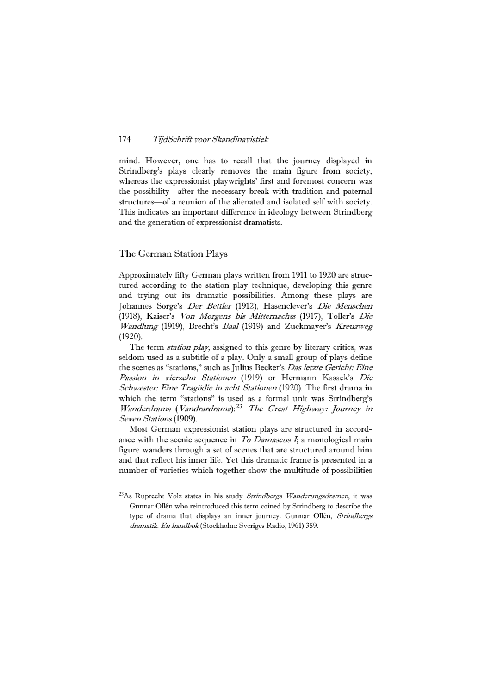mind. However, one has to recall that the journey displayed in Strindberg's plays clearly removes the main figure from society, whereas the expressionist playwrights' first and foremost concern was the possibility—after the necessary break with tradition and paternal structures—of a reunion of the alienated and isolated self with society. This indicates an important difference in ideology between Strindberg and the generation of expressionist dramatists.

### The German Station Plays

<u>—</u>

Approximately fifty German plays written from 1911 to 1920 are structured according to the station play technique, developing this genre and trying out its dramatic possibilities. Among these plays are Johannes Sorge's Der Bettler (1912), Hasenclever's Die Menschen (1918), Kaiser's Von Morgens bis Mitternachts (1917), Toller's Die Wandlung (1919), Brecht's Baal (1919) and Zuckmayer's Kreuzweg (1920).

The term *station play*, assigned to this genre by literary critics, was seldom used as a subtitle of a play. Only a small group of plays define the scenes as "stations," such as Julius Becker's *Das letzte Gericht: Eine* Passion in vierzehn Stationen (1919) or Hermann Kasack's Die Schwester: Eine Tragödie in acht Stationen (1920). The first drama in which the term "stations" is used as a formal unit was Strindberg's Wanderdrama (Vandrardrama): <sup>[23](#page-11-0)</sup> The Great Highway: Journey in Seven Stations (1909).

 Most German expressionist station plays are structured in accordance with the scenic sequence in  $To$  Damascus  $I_i$ , a monological main figure wanders through a set of scenes that are structured around him and that reflect his inner life. Yet this dramatic frame is presented in a number of varieties which together show the multitude of possibilities

<span id="page-11-0"></span><sup>&</sup>lt;sup>23</sup>As Ruprecht Volz states in his study Strindbergs Wanderungsdramen, it was Gunnar Ollén who reintroduced this term coined by Strindberg to describe the type of drama that displays an inner journey. Gunnar Ollén, Strindbergs dramatik. En handbok (Stockholm: Sveriges Radio, 1961) 359.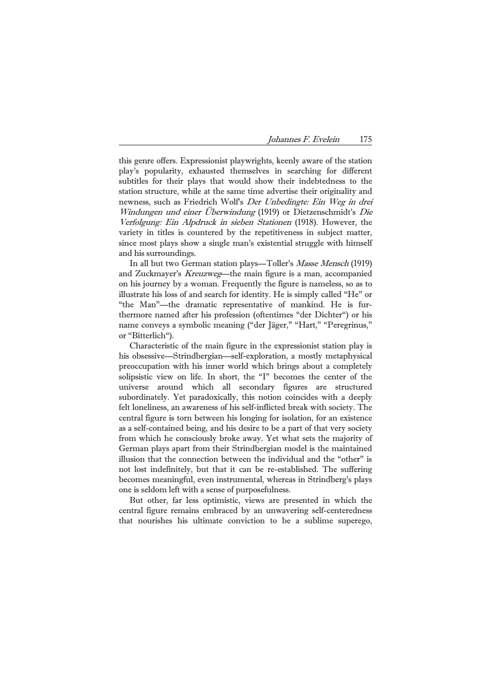this genre offers. Expressionist playwrights, keenly aware of the station play's popularity, exhausted themselves in searching for different subtitles for their plays that would show their indebtedness to the station structure, while at the same time advertise their originality and newness, such as Friedrich Wolf's Der Unbedingte: Ein Weg in drei Windungen und einer Überwindung (1919) or Dietzenschmidt's Die Verfolgung: Ein Alpdruck in sieben Stationen (1918). However, the variety in titles is countered by the repetitiveness in subject matter, since most plays show a single man's existential struggle with himself and his surroundings.

 In all but two German station plays—Toller's Masse Mensch (1919) and Zuckmayer's Kreuzweg—the main figure is a man, accompanied on his journey by a woman. Frequently the figure is nameless, so as to illustrate his loss of and search for identity. He is simply called "He" or "the Man"—the dramatic representative of mankind. He is furthermore named after his profession (oftentimes "der Dichter") or his name conveys a symbolic meaning ("der Jäger," "Hart," "Peregrinus," or "Bitterlich").

 Characteristic of the main figure in the expressionist station play is his obsessive—Strindbergian—self-exploration, a mostly metaphysical preoccupation with his inner world which brings about a completely solipsistic view on life. In short, the "I" becomes the center of the universe around which all secondary figures are structured subordinately. Yet paradoxically, this notion coincides with a deeply felt loneliness, an awareness of his self-inflicted break with society. The central figure is torn between his longing for isolation, for an existence as a self-contained being, and his desire to be a part of that very society from which he consciously broke away. Yet what sets the majority of German plays apart from their Strindbergian model is the maintained illusion that the connection between the individual and the "other" is not lost indefinitely, but that it can be re-established. The suffering becomes meaningful, even instrumental, whereas in Strindberg's plays one is seldom left with a sense of purposefulness.

 But other, far less optimistic, views are presented in which the central figure remains embraced by an unwavering self-centeredness that nourishes his ultimate conviction to be a sublime superego,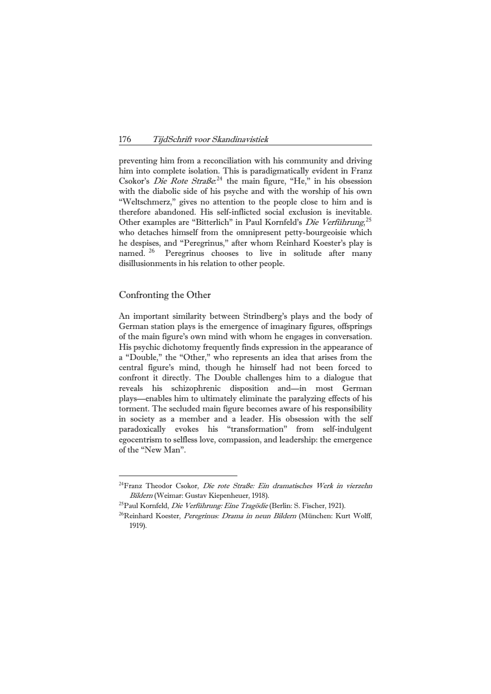preventing him from a reconciliation with his community and driving him into complete isolation. This is paradigmatically evident in Franz Csokor's *Die Rote Straße*.<sup>[24](#page-13-0)</sup> the main figure, "He," in his obsession with the diabolic side of his psyche and with the worship of his own "Weltschmerz," gives no attention to the people close to him and is therefore abandoned. His self-inflicted social exclusion is inevitable. Other examples are "Bitterlich" in Paul Kornfeld's Die Verführung,<sup>[25](#page-13-1)</sup> who detaches himself from the omnipresent petty-bourgeoisie which he despises, and "Peregrinus," after whom Reinhard Koester's play is named. <sup>[26](#page-13-2)</sup> Peregrinus chooses to live in solitude after many disillusionments in his relation to other people.

# Confronting the Other

È,

An important similarity between Strindberg's plays and the body of German station plays is the emergence of imaginary figures, offsprings of the main figure's own mind with whom he engages in conversation. His psychic dichotomy frequently finds expression in the appearance of a "Double," the "Other," who represents an idea that arises from the central figure's mind, though he himself had not been forced to confront it directly. The Double challenges him to a dialogue that reveals his schizophrenic disposition and—in most German plays—enables him to ultimately eliminate the paralyzing effects of his torment. The secluded main figure becomes aware of his responsibility in society as a member and a leader. His obsession with the self paradoxically evokes his "transformation" from self-indulgent egocentrism to selfless love, compassion, and leadership: the emergence of the "New Man".

<span id="page-13-0"></span><sup>&</sup>lt;sup>24</sup>Franz Theodor Csokor, Die rote Straße: Ein dramatisches Werk in vierzehn Bildern (Weimar: Gustav Kiepenheuer, 1918).<br><sup>25</sup>Paul Kornfeld, *Die Verführung: Eine Tragödie* (Berlin: S. Fischer, 1921).<br><sup>26</sup>Reinhard Koester, *Peregrinus: Drama in neun Bildern* (München: Kurt Wolff,

<span id="page-13-2"></span><span id="page-13-1"></span><sup>1919).</sup>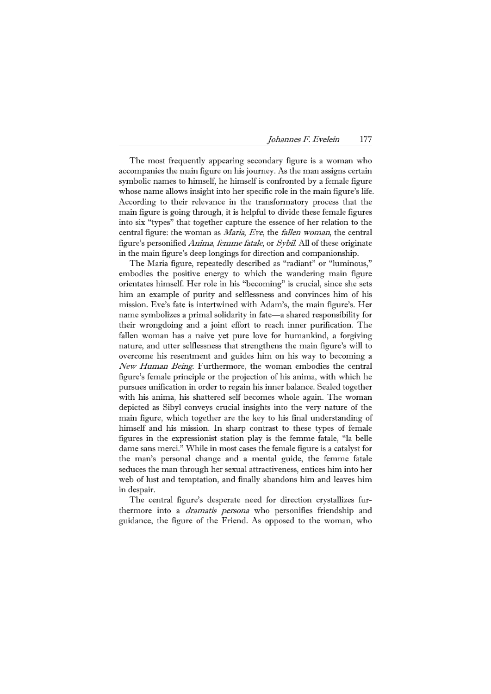The most frequently appearing secondary figure is a woman who accompanies the main figure on his journey. As the man assigns certain symbolic names to himself, he himself is confronted by a female figure whose name allows insight into her specific role in the main figure's life. According to their relevance in the transformatory process that the main figure is going through, it is helpful to divide these female figures into six "types" that together capture the essence of her relation to the central figure: the woman as *Maria*, Eve, the *fallen woman*, the central figure's personified Anima, femme fatale, or Sybil. All of these originate in the main figure's deep longings for direction and companionship.

 The Maria figure, repeatedly described as "radiant" or "luminous," embodies the positive energy to which the wandering main figure orientates himself. Her role in his "becoming" is crucial, since she sets him an example of purity and selflessness and convinces him of his mission. Eve's fate is intertwined with Adam's, the main figure's. Her name symbolizes a primal solidarity in fate—a shared responsibility for their wrongdoing and a joint effort to reach inner purification. The fallen woman has a naive yet pure love for humankind, a forgiving nature, and utter selflessness that strengthens the main figure's will to overcome his resentment and guides him on his way to becoming a New Human Being. Furthermore, the woman embodies the central figure's female principle or the projection of his anima, with which he pursues unification in order to regain his inner balance. Sealed together with his anima, his shattered self becomes whole again. The woman depicted as Sibyl conveys crucial insights into the very nature of the main figure, which together are the key to his final understanding of himself and his mission. In sharp contrast to these types of female figures in the expressionist station play is the femme fatale, "la belle dame sans merci." While in most cases the female figure is a catalyst for the man's personal change and a mental guide, the femme fatale seduces the man through her sexual attractiveness, entices him into her web of lust and temptation, and finally abandons him and leaves him in despair.

 The central figure's desperate need for direction crystallizes furthermore into a *dramatis persona* who personifies friendship and guidance, the figure of the Friend. As opposed to the woman, who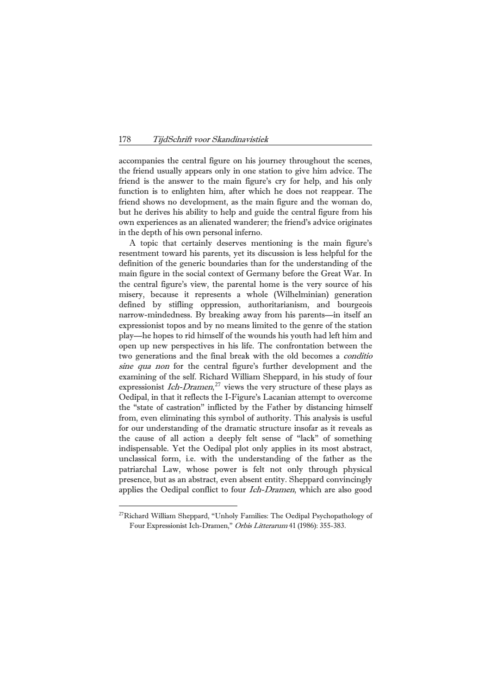accompanies the central figure on his journey throughout the scenes, the friend usually appears only in one station to give him advice. The friend is the answer to the main figure's cry for help, and his only function is to enlighten him, after which he does not reappear. The friend shows no development, as the main figure and the woman do, but he derives his ability to help and guide the central figure from his own experiences as an alienated wanderer; the friend's advice originates in the depth of his own personal inferno.

 A topic that certainly deserves mentioning is the main figure's resentment toward his parents, yet its discussion is less helpful for the definition of the generic boundaries than for the understanding of the main figure in the social context of Germany before the Great War. In the central figure's view, the parental home is the very source of his misery, because it represents a whole (Wilhelminian) generation defined by stifling oppression, authoritarianism, and bourgeois narrow-mindedness. By breaking away from his parents—in itself an expressionist topos and by no means limited to the genre of the station play—he hopes to rid himself of the wounds his youth had left him and open up new perspectives in his life. The confrontation between the two generations and the final break with the old becomes a *conditio* sine qua non for the central figure's further development and the examining of the self. Richard William Sheppard, in his study of four expressionist *Ich-Dramen*,<sup>[27](#page-15-0)</sup> views the very structure of these plays as Oedipal, in that it reflects the I-Figure's Lacanian attempt to overcome the "state of castration" inflicted by the Father by distancing himself from, even eliminating this symbol of authority. This analysis is useful for our understanding of the dramatic structure insofar as it reveals as the cause of all action a deeply felt sense of "lack" of something indispensable. Yet the Oedipal plot only applies in its most abstract, unclassical form, i.e. with the understanding of the father as the patriarchal Law, whose power is felt not only through physical presence, but as an abstract, even absent entity. Sheppard convincingly applies the Oedipal conflict to four *Ich-Dramen*, which are also good

<u>—</u>

<span id="page-15-0"></span> $^{27}$ Richard William Sheppard, "Unholy Families: The Oedipal Psychopathology of Four Expressionist Ich-Dramen," Orbis Litterarum 41 (1986): 355-383.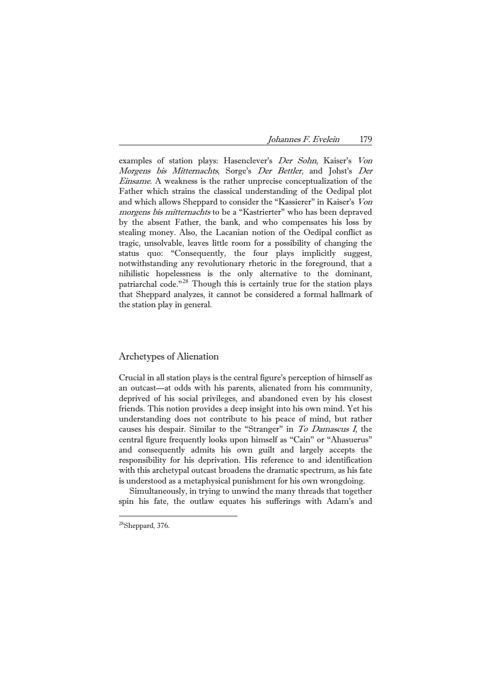examples of station plays: Hasenclever's Der Sohn, Kaiser's Von Morgens bis Mitternachts, Sorge's Der Bettler, and Johst's Der Einsame. A weakness is the rather unprecise conceptualization of the Father which strains the classical understanding of the Oedipal plot and which allows Sheppard to consider the "Kassierer" in Kaiser's Von morgens bis mitternachts to be a "Kastrierter" who has been depraved by the absent Father, the bank, and who compensates his loss by stealing money. Also, the Lacanian notion of the Oedipal conflict as tragic, unsolvable, leaves little room for a possibility of changing the status quo: "Consequently, the four plays implicitly suggest, notwithstanding any revolutionary rhetoric in the foreground, that a nihilistic hopelessness is the only alternative to the dominant, patriarchal code."[28](#page-16-0) Though this is certainly true for the station plays that Sheppard analyzes, it cannot be considered a formal hallmark of the station play in general.

# Archetypes of Alienation

Crucial in all station plays is the central figure's perception of himself as an outcast—at odds with his parents, alienated from his community, deprived of his social privileges, and abandoned even by his closest friends. This notion provides a deep insight into his own mind. Yet his understanding does not contribute to his peace of mind, but rather causes his despair. Similar to the "Stranger" in To Damascus I, the central figure frequently looks upon himself as "Cain" or "Ahasuerus" and consequently admits his own guilt and largely accepts the responsibility for his deprivation. His reference to and identification with this archetypal outcast broadens the dramatic spectrum, as his fate is understood as a metaphysical punishment for his own wrongdoing.

 Simultaneously, in trying to unwind the many threads that together spin his fate, the outlaw equates his sufferings with Adam's and

<u>—</u>

<span id="page-16-0"></span><sup>28</sup>Sheppard, 376.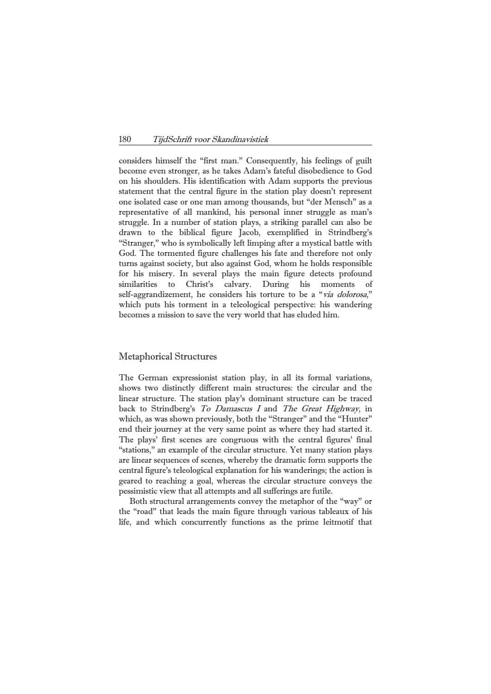considers himself the "first man." Consequently, his feelings of guilt become even stronger, as he takes Adam's fateful disobedience to God on his shoulders. His identification with Adam supports the previous statement that the central figure in the station play doesn't represent one isolated case or one man among thousands, but "der Mensch" as a representative of all mankind, his personal inner struggle as man's struggle. In a number of station plays, a striking parallel can also be drawn to the biblical figure Jacob, exemplified in Strindberg's "Stranger," who is symbolically left limping after a mystical battle with God. The tormented figure challenges his fate and therefore not only turns against society, but also against God, whom he holds responsible for his misery. In several plays the main figure detects profound similarities to Christ's calvary. During his moments of self-aggrandizement, he considers his torture to be a "via dolorosa," which puts his torment in a teleological perspective: his wandering becomes a mission to save the very world that has eluded him.

### Metaphorical Structures

The German expressionist station play, in all its formal variations, shows two distinctly different main structures: the circular and the linear structure. The station play's dominant structure can be traced back to Strindberg's To Damascus I and The Great Highway, in which, as was shown previously, both the "Stranger" and the "Hunter" end their journey at the very same point as where they had started it. The plays' first scenes are congruous with the central figures' final "stations," an example of the circular structure. Yet many station plays are linear sequences of scenes, whereby the dramatic form supports the central figure's teleological explanation for his wanderings; the action is geared to reaching a goal, whereas the circular structure conveys the pessimistic view that all attempts and all sufferings are futile.

 Both structural arrangements convey the metaphor of the "way" or the "road" that leads the main figure through various tableaux of his life, and which concurrently functions as the prime leitmotif that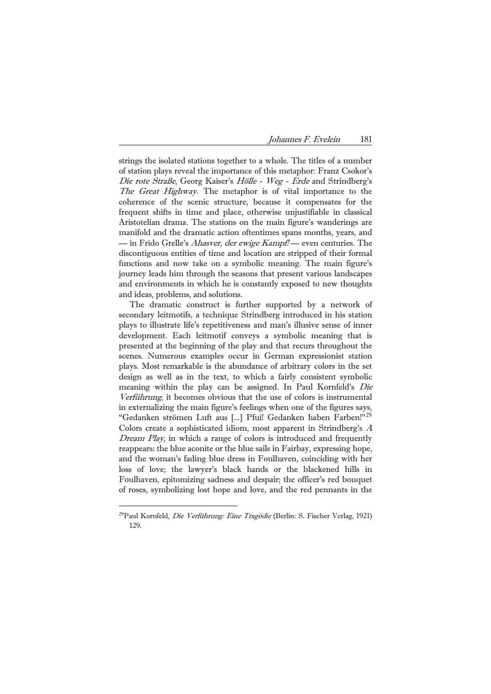strings the isolated stations together to a whole. The titles of a number of station plays reveal the importance of this metaphor: Franz Csokor's Die rote Straße, Georg Kaiser's Hölle - Weg - Erde and Strindberg's The Great Highway. The metaphor is of vital importance to the coherence of the scenic structure, because it compensates for the frequent shifts in time and place, otherwise unjustifiable in classical Aristotelian drama. The stations on the main figure's wanderings are manifold and the dramatic action oftentimes spans months, years, and — in Frido Grelle's *Ahasver, der ewige Kampf!* — even centuries. The discontiguous entities of time and location are stripped of their formal functions and now take on a symbolic meaning. The main figure's journey leads him through the seasons that present various landscapes and environments in which he is constantly exposed to new thoughts and ideas, problems, and solutions.

 The dramatic construct is further supported by a network of secondary leitmotifs, a technique Strindberg introduced in his station plays to illustrate life's repetitiveness and man's illusive sense of inner development. Each leitmotif conveys a symbolic meaning that is presented at the beginning of the play and that recurs throughout the scenes. Numerous examples occur in German expressionist station plays. Most remarkable is the abundance of arbitrary colors in the set design as well as in the text, to which a fairly consistent symbolic meaning within the play can be assigned. In Paul Kornfeld's Die Verführung, it becomes obvious that the use of colors is instrumental in externalizing the main figure's feelings when one of the figures says, "Gedanken strömen Luft aus [...] Pfui! Gedanken haben Farben!"[29](#page-18-0) Colors create a sophisticated idiom, most apparent in Strindberg's <sup>A</sup> Dream Play, in which a range of colors is introduced and frequently reappears: the blue aconite or the blue sails in Fairbay, expressing hope, and the woman's fading blue dress in Foulhaven, coinciding with her loss of love; the lawyer's black hands or the blackened hills in Foulhaven, epitomizing sadness and despair; the officer's red bouquet of roses, symbolizing lost hope and love, and the red pennants in the

<u>—</u>

<span id="page-18-0"></span><sup>&</sup>lt;sup>29</sup>Paul Kornfeld, *Die Verführung: Eine Tragödie* (Berlin: S. Fischer Verlag, 1921) 129.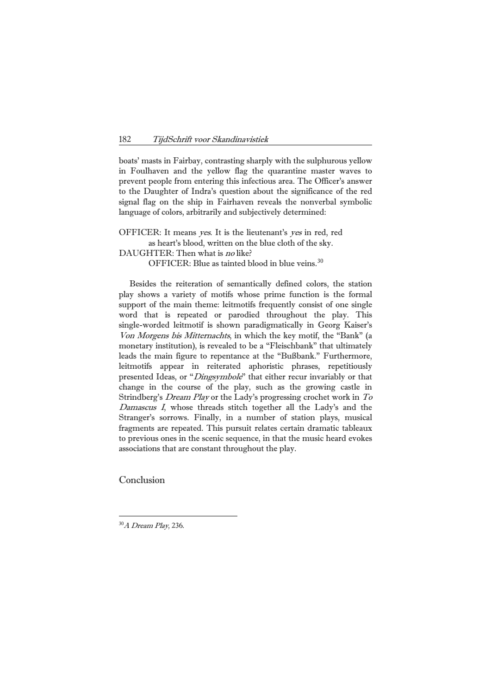boats' masts in Fairbay, contrasting sharply with the sulphurous yellow in Foulhaven and the yellow flag the quarantine master waves to prevent people from entering this infectious area. The Officer's answer to the Daughter of Indra's question about the significance of the red signal flag on the ship in Fairhaven reveals the nonverbal symbolic language of colors, arbitrarily and subjectively determined:

OFFICER: It means yes. It is the lieutenant's yes in red, red as heart's blood, written on the blue cloth of the sky.

DAUGHTER: Then what is no like?

OFFICER: Blue as tainted blood in blue veins.<sup>[30](#page-19-0)</sup>

 Besides the reiteration of semantically defined colors, the station play shows a variety of motifs whose prime function is the formal support of the main theme: leitmotifs frequently consist of one single word that is repeated or parodied throughout the play. This single-worded leitmotif is shown paradigmatically in Georg Kaiser's Von Morgens bis Mitternachts, in which the key motif, the "Bank" (a monetary institution), is revealed to be a "Fleischbank" that ultimately leads the main figure to repentance at the "Bußbank." Furthermore, leitmotifs appear in reiterated aphoristic phrases, repetitiously presented Ideas, or "*Dingsymbole*" that either recur invariably or that change in the course of the play, such as the growing castle in Strindberg's Dream Play or the Lady's progressing crochet work in To Damascus I, whose threads stitch together all the Lady's and the Stranger's sorrows. Finally, in a number of station plays, musical fragments are repeated. This pursuit relates certain dramatic tableaux to previous ones in the scenic sequence, in that the music heard evokes associations that are constant throughout the play.

Conclusion

<u>—</u>

<span id="page-19-0"></span><sup>30</sup>A Dream Play, 236.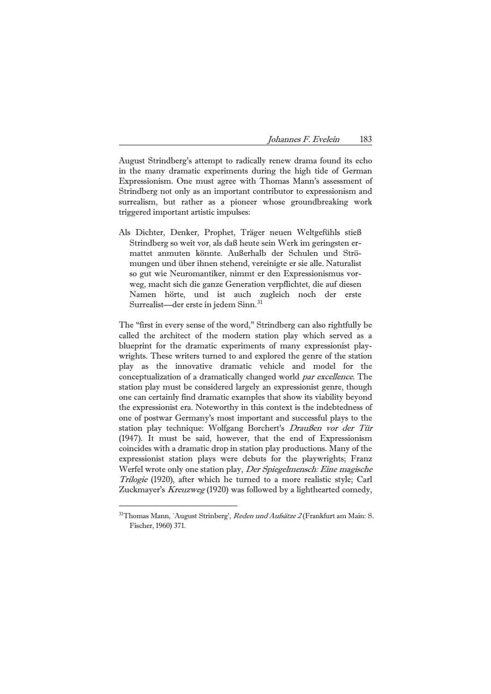| 183<br>Johannes F. Evelein |  |
|----------------------------|--|
|----------------------------|--|

August Strindberg's attempt to radically renew drama found its echo in the many dramatic experiments during the high tide of German Expressionism. One must agree with Thomas Mann's assessment of Strindberg not only as an important contributor to expressionism and surrealism, but rather as a pioneer whose groundbreaking work triggered important artistic impulses:

Als Dichter, Denker, Prophet, Träger neuen Weltgefühls stieß Strindberg so weit vor, als daß heute sein Werk im geringsten ermattet anmuten könnte. Außerhalb der Schulen und Strömungen und über ihnen stehend, vereinigte er sie alle. Naturalist so gut wie Neuromantiker, nimmt er den Expressionismus vorweg, macht sich die ganze Generation verpflichtet, die auf diesen Namen hörte, und ist auch zugleich noch der erste Surrealist—der erste in jedem Sinn.<sup>[31](#page-20-0)</sup>

The "first in every sense of the word," Strindberg can also rightfully be called the architect of the modern station play which served as a blueprint for the dramatic experiments of many expressionist playwrights. These writers turned to and explored the genre of the station play as the innovative dramatic vehicle and model for the conceptualization of a dramatically changed world par excellence. The station play must be considered largely an expressionist genre, though one can certainly find dramatic examples that show its viability beyond the expressionist era. Noteworthy in this context is the indebtedness of one of postwar Germany's most important and successful plays to the station play technique: Wolfgang Borchert's Draußen vor der Tür (1947). It must be said, however, that the end of Expressionism coincides with a dramatic drop in station play productions. Many of the expressionist station plays were debuts for the playwrights; Franz Werfel wrote only one station play, Der Spiegelmensch: Eine magische Trilogie (1920), after which he turned to a more realistic style; Carl Zuckmayer's *Kreuzweg* (1920) was followed by a lighthearted comedy,

<u>—</u>

<span id="page-20-0"></span> $31$ Thomas Mann, `August Strinberg', *Reden und Aufsätze 2* (Frankfurt am Main: S. Fischer, 1960) 371.